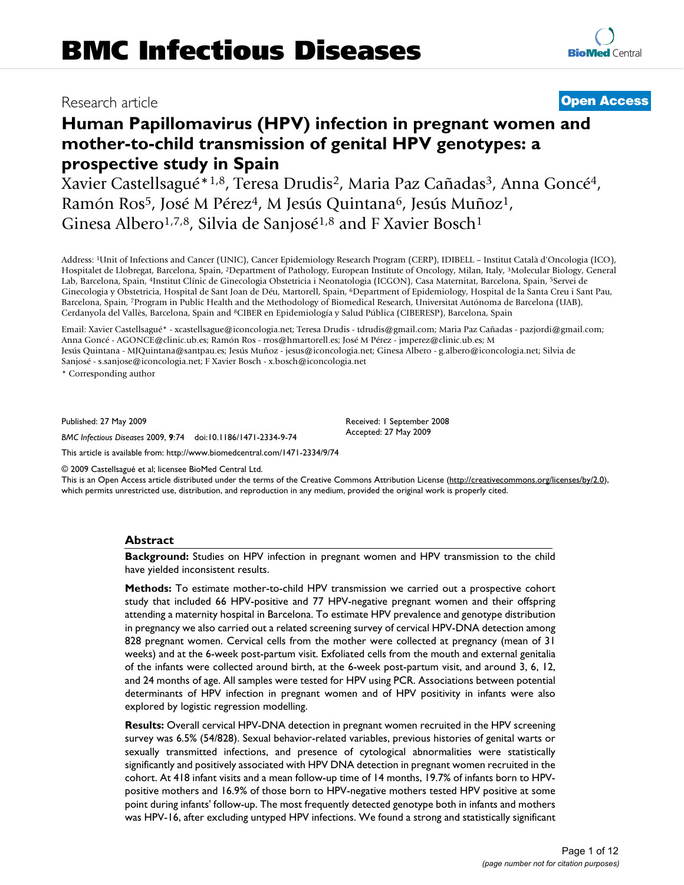# Research article **[Open Access](http://www.biomedcentral.com/info/about/charter/)**

# **Human Papillomavirus (HPV) infection in pregnant women and mother-to-child transmission of genital HPV genotypes: a prospective study in Spain**

Xavier Castellsagué<sup>\*1,8</sup>, Teresa Drudis<sup>2</sup>, Maria Paz Cañadas<sup>3</sup>, Anna Goncé<sup>4</sup>, Ramón Ros<sup>5</sup>, José M Pérez<sup>4</sup>, M Jesús Quintana<sup>6</sup>, Jesús Muñoz<sup>1</sup>, Ginesa Albero<sup>1,7,8</sup>, Silvia de Sanjosé<sup>1,8</sup> and F Xavier Bosch<sup>1</sup>

Address: 1Unit of Infections and Cancer (UNIC), Cancer Epidemiology Research Program (CERP), IDIBELL – Institut Català d'Oncologia (ICO), Hospitalet de Llobregat, Barcelona, Spain, 2Department of Pathology, European Institute of Oncology, Milan, Italy, 3Molecular Biology, General Lab, Barcelona, Spain, 4Institut Clínic de Ginecologia Obstetricia i Neonatologia (ICGON), Casa Maternitat, Barcelona, Spain, 5Servei de Ginecologia y Obstetricia, Hospital de Sant Joan de Déu, Martorell, Spain, 6Department of Epidemiology, Hospital de la Santa Creu i Sant Pau, Barcelona, Spain, 7Program in Public Health and the Methodology of Biomedical Research, Universitat Autónoma de Barcelona (UAB), Cerdanyola del Vallès, Barcelona, Spain and 8CIBER en Epidemiología y Salud Pública (CIBERESP), Barcelona, Spain

Email: Xavier Castellsagué\* - xcastellsague@iconcologia.net; Teresa Drudis - tdrudis@gmail.com; Maria Paz Cañadas - pazjordi@gmail.com; Anna Goncé - AGONCE@clinic.ub.es; Ramón Ros - rros@hmartorell.es; José M Pérez - jmperez@clinic.ub.es; M Jesús Quintana - MJQuintana@santpau.es; Jesús Muñoz - jesus@iconcologia.net; Ginesa Albero - g.albero@iconcologia.net; Silvia de Sanjosé - s.sanjose@iconcologia.net; F Xavier Bosch - x.bosch@iconcologia.net

\* Corresponding author

Published: 27 May 2009

*BMC Infectious Diseases* 2009, **9**:74 doi:10.1186/1471-2334-9-74

[This article is available from: http://www.biomedcentral.com/1471-2334/9/74](http://www.biomedcentral.com/1471-2334/9/74)

© 2009 Castellsagué et al; licensee BioMed Central Ltd.

This is an Open Access article distributed under the terms of the Creative Commons Attribution License [\(http://creativecommons.org/licenses/by/2.0\)](http://creativecommons.org/licenses/by/2.0), which permits unrestricted use, distribution, and reproduction in any medium, provided the original work is properly cited.

Received: 1 September 2008 Accepted: 27 May 2009

#### **Abstract**

**Background:** Studies on HPV infection in pregnant women and HPV transmission to the child have yielded inconsistent results.

**Methods:** To estimate mother-to-child HPV transmission we carried out a prospective cohort study that included 66 HPV-positive and 77 HPV-negative pregnant women and their offspring attending a maternity hospital in Barcelona. To estimate HPV prevalence and genotype distribution in pregnancy we also carried out a related screening survey of cervical HPV-DNA detection among 828 pregnant women. Cervical cells from the mother were collected at pregnancy (mean of 31 weeks) and at the 6-week post-partum visit. Exfoliated cells from the mouth and external genitalia of the infants were collected around birth, at the 6-week post-partum visit, and around 3, 6, 12, and 24 months of age. All samples were tested for HPV using PCR. Associations between potential determinants of HPV infection in pregnant women and of HPV positivity in infants were also explored by logistic regression modelling.

**Results:** Overall cervical HPV-DNA detection in pregnant women recruited in the HPV screening survey was 6.5% (54/828). Sexual behavior-related variables, previous histories of genital warts or sexually transmitted infections, and presence of cytological abnormalities were statistically significantly and positively associated with HPV DNA detection in pregnant women recruited in the cohort. At 418 infant visits and a mean follow-up time of 14 months, 19.7% of infants born to HPVpositive mothers and 16.9% of those born to HPV-negative mothers tested HPV positive at some point during infants' follow-up. The most frequently detected genotype both in infants and mothers was HPV-16, after excluding untyped HPV infections. We found a strong and statistically significant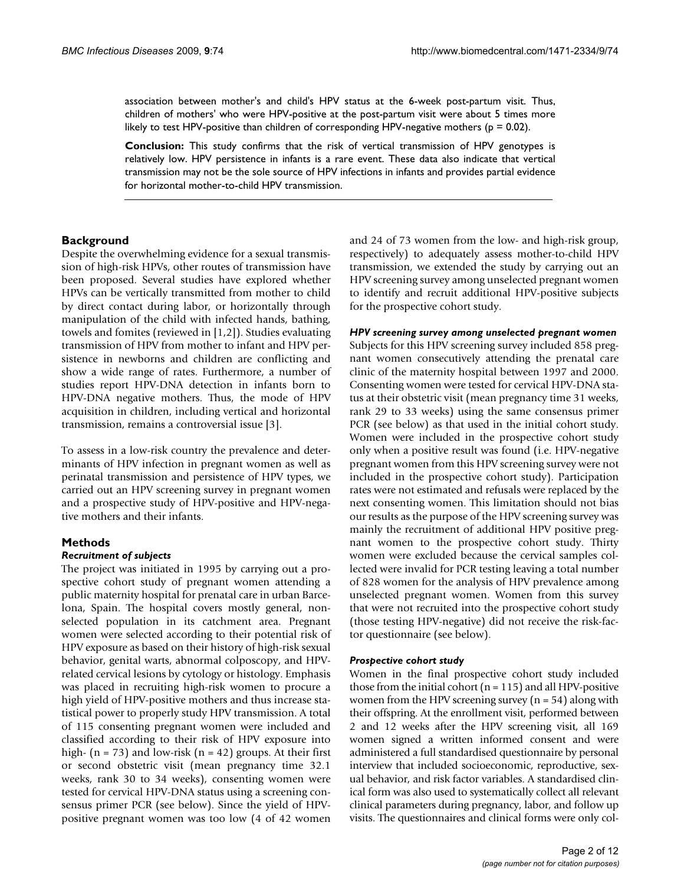association between mother's and child's HPV status at the 6-week post-partum visit. Thus, children of mothers' who were HPV-positive at the post-partum visit were about 5 times more likely to test HPV-positive than children of corresponding HPV-negative mothers ( $p = 0.02$ ).

**Conclusion:** This study confirms that the risk of vertical transmission of HPV genotypes is relatively low. HPV persistence in infants is a rare event. These data also indicate that vertical transmission may not be the sole source of HPV infections in infants and provides partial evidence for horizontal mother-to-child HPV transmission.

#### **Background**

Despite the overwhelming evidence for a sexual transmission of high-risk HPVs, other routes of transmission have been proposed. Several studies have explored whether HPVs can be vertically transmitted from mother to child by direct contact during labor, or horizontally through manipulation of the child with infected hands, bathing, towels and fomites (reviewed in [1,2]). Studies evaluating transmission of HPV from mother to infant and HPV persistence in newborns and children are conflicting and show a wide range of rates. Furthermore, a number of studies report HPV-DNA detection in infants born to HPV-DNA negative mothers. Thus, the mode of HPV acquisition in children, including vertical and horizontal transmission, remains a controversial issue [3].

To assess in a low-risk country the prevalence and determinants of HPV infection in pregnant women as well as perinatal transmission and persistence of HPV types, we carried out an HPV screening survey in pregnant women and a prospective study of HPV-positive and HPV-negative mothers and their infants.

# **Methods**

#### *Recruitment of subjects*

The project was initiated in 1995 by carrying out a prospective cohort study of pregnant women attending a public maternity hospital for prenatal care in urban Barcelona, Spain. The hospital covers mostly general, nonselected population in its catchment area. Pregnant women were selected according to their potential risk of HPV exposure as based on their history of high-risk sexual behavior, genital warts, abnormal colposcopy, and HPVrelated cervical lesions by cytology or histology. Emphasis was placed in recruiting high-risk women to procure a high yield of HPV-positive mothers and thus increase statistical power to properly study HPV transmission. A total of 115 consenting pregnant women were included and classified according to their risk of HPV exposure into high-  $(n = 73)$  and low-risk  $(n = 42)$  groups. At their first or second obstetric visit (mean pregnancy time 32.1 weeks, rank 30 to 34 weeks), consenting women were tested for cervical HPV-DNA status using a screening consensus primer PCR (see below). Since the yield of HPVpositive pregnant women was too low (4 of 42 women

and 24 of 73 women from the low- and high-risk group, respectively) to adequately assess mother-to-child HPV transmission, we extended the study by carrying out an HPV screening survey among unselected pregnant women to identify and recruit additional HPV-positive subjects for the prospective cohort study.

#### *HPV screening survey among unselected pregnant women*

Subjects for this HPV screening survey included 858 pregnant women consecutively attending the prenatal care clinic of the maternity hospital between 1997 and 2000. Consenting women were tested for cervical HPV-DNA status at their obstetric visit (mean pregnancy time 31 weeks, rank 29 to 33 weeks) using the same consensus primer PCR (see below) as that used in the initial cohort study. Women were included in the prospective cohort study only when a positive result was found (i.e. HPV-negative pregnant women from this HPV screening survey were not included in the prospective cohort study). Participation rates were not estimated and refusals were replaced by the next consenting women. This limitation should not bias our results as the purpose of the HPV screening survey was mainly the recruitment of additional HPV positive pregnant women to the prospective cohort study. Thirty women were excluded because the cervical samples collected were invalid for PCR testing leaving a total number of 828 women for the analysis of HPV prevalence among unselected pregnant women. Women from this survey that were not recruited into the prospective cohort study (those testing HPV-negative) did not receive the risk-factor questionnaire (see below).

#### *Prospective cohort study*

Women in the final prospective cohort study included those from the initial cohort  $(n = 115)$  and all HPV-positive women from the HPV screening survey ( $n = 54$ ) along with their offspring. At the enrollment visit, performed between 2 and 12 weeks after the HPV screening visit, all 169 women signed a written informed consent and were administered a full standardised questionnaire by personal interview that included socioeconomic, reproductive, sexual behavior, and risk factor variables. A standardised clinical form was also used to systematically collect all relevant clinical parameters during pregnancy, labor, and follow up visits. The questionnaires and clinical forms were only col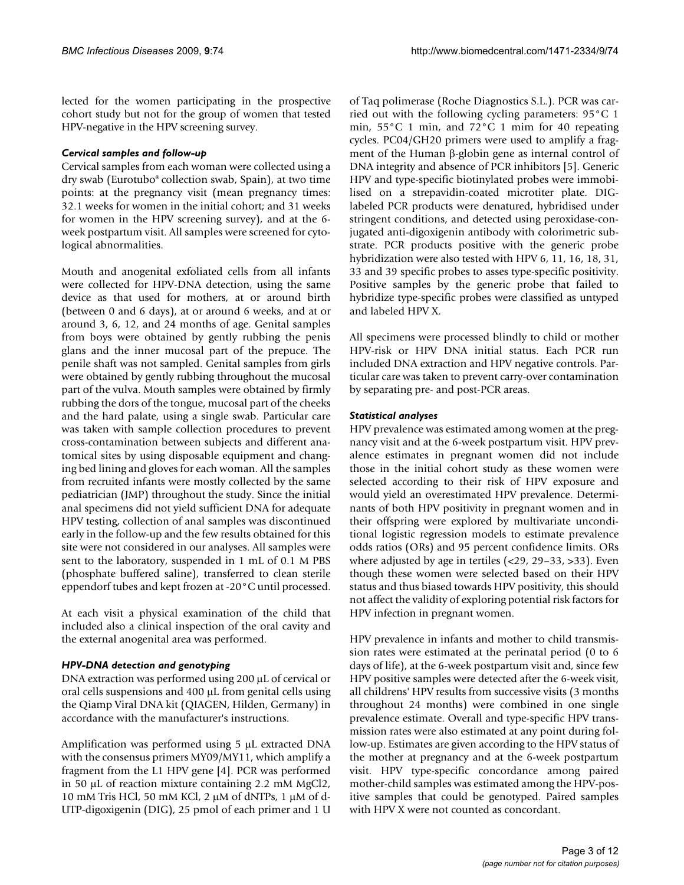lected for the women participating in the prospective cohort study but not for the group of women that tested HPV-negative in the HPV screening survey.

#### *Cervical samples and follow-up*

Cervical samples from each woman were collected using a dry swab (Eurotubo® collection swab, Spain), at two time points: at the pregnancy visit (mean pregnancy times: 32.1 weeks for women in the initial cohort; and 31 weeks for women in the HPV screening survey), and at the 6 week postpartum visit. All samples were screened for cytological abnormalities.

Mouth and anogenital exfoliated cells from all infants were collected for HPV-DNA detection, using the same device as that used for mothers, at or around birth (between 0 and 6 days), at or around 6 weeks, and at or around 3, 6, 12, and 24 months of age. Genital samples from boys were obtained by gently rubbing the penis glans and the inner mucosal part of the prepuce. The penile shaft was not sampled. Genital samples from girls were obtained by gently rubbing throughout the mucosal part of the vulva. Mouth samples were obtained by firmly rubbing the dors of the tongue, mucosal part of the cheeks and the hard palate, using a single swab. Particular care was taken with sample collection procedures to prevent cross-contamination between subjects and different anatomical sites by using disposable equipment and changing bed lining and gloves for each woman. All the samples from recruited infants were mostly collected by the same pediatrician (JMP) throughout the study. Since the initial anal specimens did not yield sufficient DNA for adequate HPV testing, collection of anal samples was discontinued early in the follow-up and the few results obtained for this site were not considered in our analyses. All samples were sent to the laboratory, suspended in 1 mL of 0.1 M PBS (phosphate buffered saline), transferred to clean sterile eppendorf tubes and kept frozen at -20°C until processed.

At each visit a physical examination of the child that included also a clinical inspection of the oral cavity and the external anogenital area was performed.

# *HPV-DNA detection and genotyping*

DNA extraction was performed using 200 μL of cervical or oral cells suspensions and 400 μL from genital cells using the Qiamp Viral DNA kit (QIAGEN, Hilden, Germany) in accordance with the manufacturer's instructions.

Amplification was performed using 5 μL extracted DNA with the consensus primers MY09/MY11, which amplify a fragment from the L1 HPV gene [4]. PCR was performed in 50 μL of reaction mixture containing 2.2 mM MgCl2, 10 mM Tris HCl, 50 mM KCl, 2 μM of dNTPs, 1 μM of d-UTP-digoxigenin (DIG), 25 pmol of each primer and 1 U

of Taq polimerase (Roche Diagnostics S.L.). PCR was carried out with the following cycling parameters: 95°C 1 min, 55°C 1 min, and 72°C 1 mim for 40 repeating cycles. PC04/GH20 primers were used to amplify a fragment of the Human β-globin gene as internal control of DNA integrity and absence of PCR inhibitors [5]. Generic HPV and type-specific biotinylated probes were immobilised on a strepavidin-coated microtiter plate. DIGlabeled PCR products were denatured, hybridised under stringent conditions, and detected using peroxidase-conjugated anti-digoxigenin antibody with colorimetric substrate. PCR products positive with the generic probe hybridization were also tested with HPV 6, 11, 16, 18, 31, 33 and 39 specific probes to asses type-specific positivity. Positive samples by the generic probe that failed to hybridize type-specific probes were classified as untyped and labeled HPV X.

All specimens were processed blindly to child or mother HPV-risk or HPV DNA initial status. Each PCR run included DNA extraction and HPV negative controls. Particular care was taken to prevent carry-over contamination by separating pre- and post-PCR areas.

#### *Statistical analyses*

HPV prevalence was estimated among women at the pregnancy visit and at the 6-week postpartum visit. HPV prevalence estimates in pregnant women did not include those in the initial cohort study as these women were selected according to their risk of HPV exposure and would yield an overestimated HPV prevalence. Determinants of both HPV positivity in pregnant women and in their offspring were explored by multivariate unconditional logistic regression models to estimate prevalence odds ratios (ORs) and 95 percent confidence limits. ORs where adjusted by age in tertiles (<29, 29–33, >33). Even though these women were selected based on their HPV status and thus biased towards HPV positivity, this should not affect the validity of exploring potential risk factors for HPV infection in pregnant women.

HPV prevalence in infants and mother to child transmission rates were estimated at the perinatal period (0 to 6 days of life), at the 6-week postpartum visit and, since few HPV positive samples were detected after the 6-week visit, all childrens' HPV results from successive visits (3 months throughout 24 months) were combined in one single prevalence estimate. Overall and type-specific HPV transmission rates were also estimated at any point during follow-up. Estimates are given according to the HPV status of the mother at pregnancy and at the 6-week postpartum visit. HPV type-specific concordance among paired mother-child samples was estimated among the HPV-positive samples that could be genotyped. Paired samples with HPV X were not counted as concordant.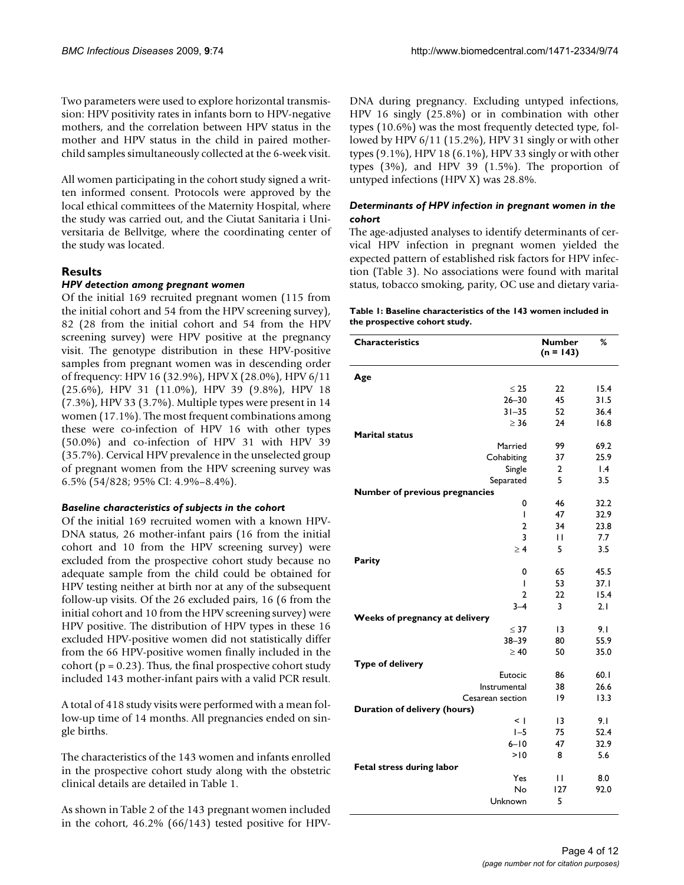Two parameters were used to explore horizontal transmission: HPV positivity rates in infants born to HPV-negative mothers, and the correlation between HPV status in the mother and HPV status in the child in paired motherchild samples simultaneously collected at the 6-week visit.

All women participating in the cohort study signed a written informed consent. Protocols were approved by the local ethical committees of the Maternity Hospital, where the study was carried out, and the Ciutat Sanitaria i Universitaria de Bellvitge, where the coordinating center of the study was located.

# **Results**

#### *HPV detection among pregnant women*

Of the initial 169 recruited pregnant women (115 from the initial cohort and 54 from the HPV screening survey), 82 (28 from the initial cohort and 54 from the HPV screening survey) were HPV positive at the pregnancy visit. The genotype distribution in these HPV-positive samples from pregnant women was in descending order of frequency: HPV 16 (32.9%), HPV X (28.0%), HPV 6/11 (25.6%), HPV 31 (11.0%), HPV 39 (9.8%), HPV 18 (7.3%), HPV 33 (3.7%). Multiple types were present in 14 women (17.1%). The most frequent combinations among these were co-infection of HPV 16 with other types (50.0%) and co-infection of HPV 31 with HPV 39 (35.7%). Cervical HPV prevalence in the unselected group of pregnant women from the HPV screening survey was 6.5% (54/828; 95% CI: 4.9%–8.4%).

#### *Baseline characteristics of subjects in the cohort*

Of the initial 169 recruited women with a known HPV-DNA status, 26 mother-infant pairs (16 from the initial cohort and 10 from the HPV screening survey) were excluded from the prospective cohort study because no adequate sample from the child could be obtained for HPV testing neither at birth nor at any of the subsequent follow-up visits. Of the 26 excluded pairs, 16 (6 from the initial cohort and 10 from the HPV screening survey) were HPV positive. The distribution of HPV types in these 16 excluded HPV-positive women did not statistically differ from the 66 HPV-positive women finally included in the cohort ( $p = 0.23$ ). Thus, the final prospective cohort study included 143 mother-infant pairs with a valid PCR result.

A total of 418 study visits were performed with a mean follow-up time of 14 months. All pregnancies ended on single births.

The characteristics of the 143 women and infants enrolled in the prospective cohort study along with the obstetric clinical details are detailed in Table 1.

As shown in Table 2 of the 143 pregnant women included in the cohort, 46.2% (66/143) tested positive for HPV- DNA during pregnancy. Excluding untyped infections, HPV 16 singly (25.8%) or in combination with other types (10.6%) was the most frequently detected type, followed by HPV 6/11 (15.2%), HPV 31 singly or with other types (9.1%), HPV 18 (6.1%), HPV 33 singly or with other types (3%), and HPV 39 (1.5%). The proportion of untyped infections (HPV X) was 28.8%.

#### *Determinants of HPV infection in pregnant women in the cohort*

The age-adjusted analyses to identify determinants of cervical HPV infection in pregnant women yielded the expected pattern of established risk factors for HPV infection (Table 3). No associations were found with marital status, tobacco smoking, parity, OC use and dietary varia-

|                               | Table 1: Baseline characteristics of the 143 women included in |  |  |
|-------------------------------|----------------------------------------------------------------|--|--|
| the prospective cohort study. |                                                                |  |  |

| <b>Characteristics</b>                | <b>Number</b><br>$(n = 143)$ | %               |
|---------------------------------------|------------------------------|-----------------|
| Age                                   |                              |                 |
| $\leq 25$                             | 22                           | 15.4            |
| $26 - 30$                             | 45                           | 31.5            |
| $31 - 35$                             | 52                           | 36.4            |
| $\geq 36$                             | 24                           | 16.8            |
| <b>Marital status</b>                 |                              |                 |
| Married                               | 99                           | 69.2            |
| Cohabiting                            | 37                           | 25.9            |
| Single                                | 2                            | $\mathsf{I}$ .4 |
| Separated                             | 5                            | 3.5             |
| <b>Number of previous pregnancies</b> |                              |                 |
| 0                                     | 46                           | 32.2            |
| I                                     | 47                           | 32.9            |
| 2                                     | 34                           | 23.8            |
| 3                                     | П                            | 7.7             |
| $\geq 4$                              | 5                            | 3.5             |
| Parity                                |                              |                 |
| 0                                     | 65                           | 45.5            |
| L                                     | 53                           | 37.1            |
| $\overline{2}$                        | 22                           | 15.4            |
| $3 - 4$                               | 3                            | 2.1             |
| Weeks of pregnancy at delivery        |                              |                 |
| $\leq$ 37<br>$38 - 39$                | 13                           | 9.1<br>55.9     |
| $\geq 40$                             | 80<br>50                     | 35.0            |
| <b>Type of delivery</b>               |                              |                 |
| Eutocic                               | 86                           | 60.1            |
| Instrumental                          | 38                           | 26.6            |
| Cesarean section                      | 19                           | 13.3            |
| Duration of delivery (hours)          |                              |                 |
| $\leq$ 1                              | $\overline{13}$              | 9.1             |
| $I - 5$                               | 75                           | 52.4            |
| $6 - 10$                              | 47                           | 32.9            |
| >10                                   | 8                            | 5.6             |
| <b>Fetal stress during labor</b>      |                              |                 |
| Yes                                   | П                            | 8.0             |
| No                                    | 127                          | 92.0            |
| Unknown                               | 5                            |                 |
|                                       |                              |                 |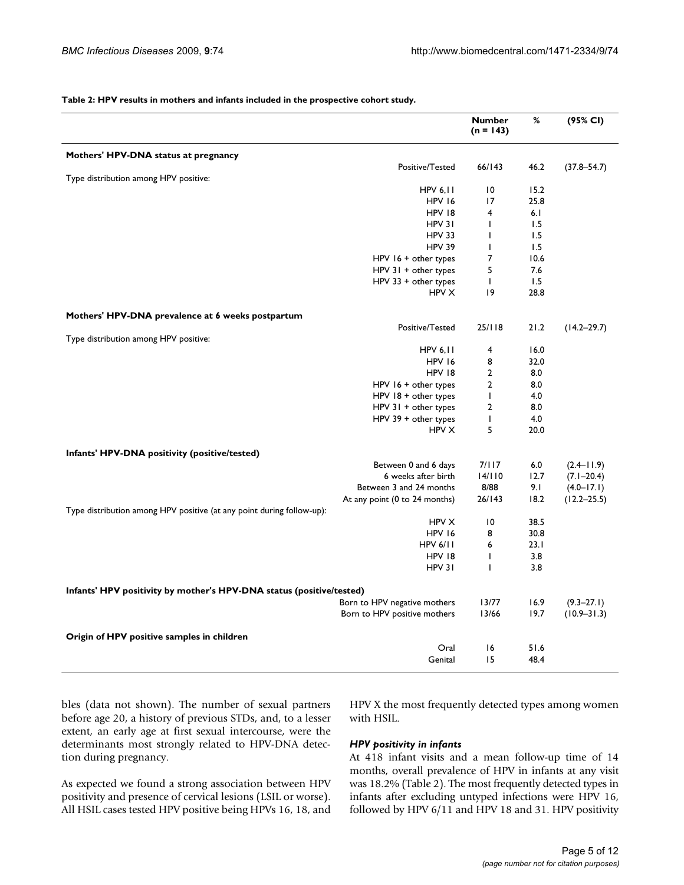#### **Table 2: HPV results in mothers and infants included in the prospective cohort study.**

|                                                                       |                               | <b>Number</b><br>$(n = 143)$ | %    | (95% CI)        |
|-----------------------------------------------------------------------|-------------------------------|------------------------------|------|-----------------|
| Mothers' HPV-DNA status at pregnancy                                  |                               |                              |      |                 |
|                                                                       | Positive/Tested               | 66/143                       | 46.2 | $(37.8 - 54.7)$ |
| Type distribution among HPV positive:                                 | <b>HPV 6,11</b>               | $ 0\rangle$                  | 15.2 |                 |
|                                                                       | HPV 16                        | 17                           | 25.8 |                 |
|                                                                       | HPV 18                        | 4                            | 6.1  |                 |
|                                                                       | HPV 31                        | $\mathbf{I}$                 | 1.5  |                 |
|                                                                       | <b>HPV 33</b>                 | $\mathbf{I}$                 | 1.5  |                 |
|                                                                       | <b>HPV 39</b>                 | $\mathbf{I}$                 | 1.5  |                 |
|                                                                       | HPV $16 +$ other types        | 7                            | 10.6 |                 |
|                                                                       | $HPV$ 31 + other types        | 5                            | 7.6  |                 |
|                                                                       | $HPV$ 33 + other types        | $\mathbf{I}$                 | 1.5  |                 |
|                                                                       | <b>HPV X</b>                  | 9                            | 28.8 |                 |
| Mothers' HPV-DNA prevalence at 6 weeks postpartum                     |                               |                              |      |                 |
|                                                                       | Positive/Tested               | 25/118                       | 21.2 | $(14.2 - 29.7)$ |
| Type distribution among HPV positive:                                 |                               |                              |      |                 |
|                                                                       | <b>HPV 6.11</b>               | 4                            | 16.0 |                 |
|                                                                       | <b>HPV 16</b>                 | 8                            | 32.0 |                 |
|                                                                       | HPV 18                        | $\overline{2}$               | 8.0  |                 |
|                                                                       | HPV 16 + other types          | $\overline{2}$               | 8.0  |                 |
|                                                                       | HPV $18 +$ other types        | $\mathbf{I}$                 | 4.0  |                 |
|                                                                       | $HPV$ 31 + other types        | $\overline{2}$               | 8.0  |                 |
|                                                                       | $HPV$ 39 + other types        | $\mathbf{I}$                 | 4.0  |                 |
|                                                                       | HPV X                         | 5                            | 20.0 |                 |
| Infants' HPV-DNA positivity (positive/tested)                         |                               |                              |      |                 |
|                                                                       | Between 0 and 6 days          | 7/117                        | 6.0  | $(2.4 - 11.9)$  |
|                                                                       | 6 weeks after birth           | 14/110                       | 12.7 | $(7.1 - 20.4)$  |
|                                                                       | Between 3 and 24 months       | 8/88                         | 9.1  | $(4.0 - 17.1)$  |
|                                                                       | At any point (0 to 24 months) | 26/143                       | 18.2 | $(12.2 - 25.5)$ |
| Type distribution among HPV positive (at any point during follow-up): |                               |                              |      |                 |
|                                                                       | HPV X                         | 10                           | 38.5 |                 |
|                                                                       | HPV 16                        | 8                            | 30.8 |                 |
|                                                                       | <b>HPV 6/11</b>               | 6                            | 23.1 |                 |
|                                                                       | HPV 18                        | T                            | 3.8  |                 |
|                                                                       | HPV 31                        | T                            | 3.8  |                 |
| Infants' HPV positivity by mother's HPV-DNA status (positive/tested)  |                               |                              |      |                 |
|                                                                       | Born to HPV negative mothers  | 13/77                        | 16.9 | $(9.3 - 27.1)$  |
|                                                                       | Born to HPV positive mothers  | 13/66                        | 19.7 | $(10.9 - 31.3)$ |
| Origin of HPV positive samples in children                            |                               |                              |      |                 |
|                                                                       | Oral                          | 16                           | 51.6 |                 |
|                                                                       | Genital                       | 15                           | 48.4 |                 |

bles (data not shown). The number of sexual partners before age 20, a history of previous STDs, and, to a lesser extent, an early age at first sexual intercourse, were the determinants most strongly related to HPV-DNA detection during pregnancy.

As expected we found a strong association between HPV positivity and presence of cervical lesions (LSIL or worse). All HSIL cases tested HPV positive being HPVs 16, 18, and HPV X the most frequently detected types among women with HSIL.

#### *HPV positivity in infants*

At 418 infant visits and a mean follow-up time of 14 months, overall prevalence of HPV in infants at any visit was 18.2% (Table 2). The most frequently detected types in infants after excluding untyped infections were HPV 16, followed by HPV 6/11 and HPV 18 and 31. HPV positivity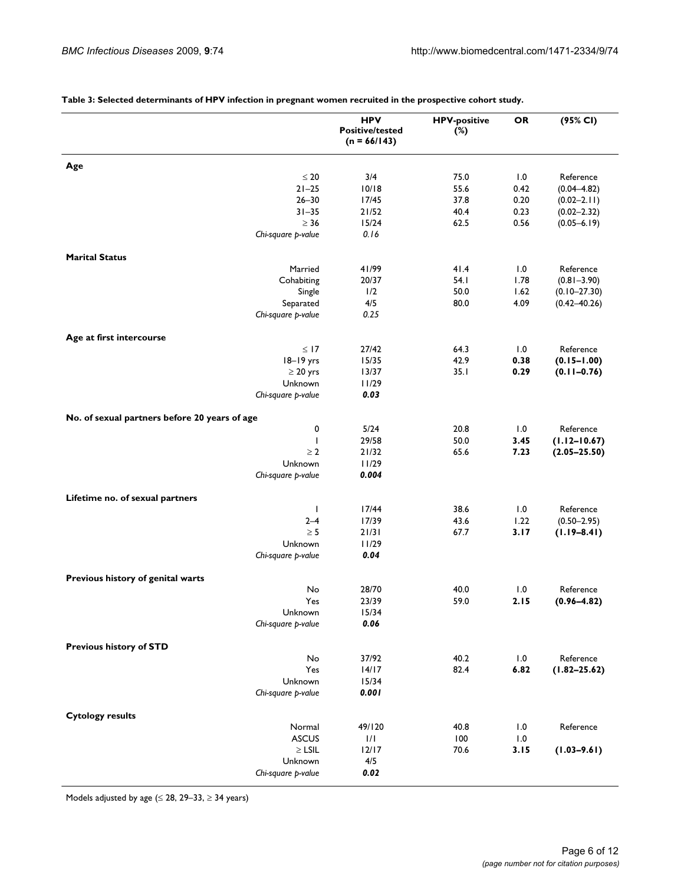|                                               |                    | <b>HPV</b><br><b>Positive/tested</b><br>$(n = 66/143)$ | <b>HPV-positive</b><br>$(\%)$ | <b>OR</b> | (95% CI)         |
|-----------------------------------------------|--------------------|--------------------------------------------------------|-------------------------------|-----------|------------------|
| Age                                           |                    |                                                        |                               |           |                  |
|                                               | $\leq 20$          | 3/4                                                    | 75.0                          | 1.0       | Reference        |
|                                               | $21 - 25$          | 10/18                                                  | 55.6                          | 0.42      | $(0.04 - 4.82)$  |
|                                               | $26 - 30$          | 17/45                                                  | 37.8                          | 0.20      | $(0.02 - 2.11)$  |
|                                               | $31 - 35$          | 21/52                                                  | 40.4                          | 0.23      | $(0.02 - 2.32)$  |
|                                               | $\geq 36$          | 15/24                                                  | 62.5                          | 0.56      | $(0.05 - 6.19)$  |
|                                               | Chi-square p-value | 0.16                                                   |                               |           |                  |
| <b>Marital Status</b>                         |                    |                                                        |                               |           |                  |
|                                               | Married            | 41/99                                                  | 41.4                          | 1.0       | Reference        |
|                                               | Cohabiting         | 20/37                                                  | 54.1                          | 1.78      | $(0.81 - 3.90)$  |
|                                               | Single             | 1/2                                                    | 50.0                          | 1.62      | $(0.10 - 27.30)$ |
|                                               | Separated          | 4/5                                                    | 80.0                          | 4.09      | $(0.42 - 40.26)$ |
|                                               | Chi-square p-value | 0.25                                                   |                               |           |                  |
| Age at first intercourse                      |                    |                                                        |                               |           |                  |
|                                               | $\leq$ 17          | 27/42                                                  | 64.3                          | 1.0       | Reference        |
|                                               | 18-19 yrs          | 15/35                                                  | 42.9                          | 0.38      | $(0.15 - 1.00)$  |
|                                               | $\geq 20$ yrs      | 13/37                                                  | 35.1                          | 0.29      | $(0.11 - 0.76)$  |
|                                               | Unknown            | 11/29                                                  |                               |           |                  |
|                                               | Chi-square p-value | 0.03                                                   |                               |           |                  |
| No. of sexual partners before 20 years of age |                    |                                                        |                               |           |                  |
|                                               | 0                  | 5/24                                                   | 20.8                          | 1.0       | Reference        |
|                                               | T                  | 29/58                                                  | 50.0                          | 3.45      | $(1.12 - 10.67)$ |
|                                               | $\geq 2$           | 21/32                                                  | 65.6                          | 7.23      | $(2.05 - 25.50)$ |
|                                               | Unknown            | 11/29                                                  |                               |           |                  |
|                                               | Chi-square p-value | 0.004                                                  |                               |           |                  |
| Lifetime no. of sexual partners               |                    |                                                        |                               |           |                  |
|                                               | $\mathbf{I}$       | 17/44                                                  | 38.6                          | 1.0       | Reference        |
|                                               | $2 - 4$            | 17/39                                                  | 43.6                          | 1.22      | $(0.50 - 2.95)$  |
|                                               | $\geq 5$           | 21/31                                                  | 67.7                          | 3.17      | $(1.19 - 8.41)$  |
|                                               | Unknown            | 11/29                                                  |                               |           |                  |
|                                               | Chi-square p-value | 0.04                                                   |                               |           |                  |
| Previous history of genital warts             |                    |                                                        |                               |           |                  |
|                                               | No                 | 28/70                                                  | 40.0                          | 1.0       | Reference        |
|                                               | Yes                | 23/39                                                  | 59.0                          | 2.15      | $(0.96 - 4.82)$  |
|                                               | Unknown            | 15/34                                                  |                               |           |                  |
|                                               | Chi-square p-value | 0.06                                                   |                               |           |                  |
| Previous history of STD                       |                    |                                                        |                               |           |                  |
|                                               | No                 | 37/92                                                  | 40.2                          | 1.0       | Reference        |
|                                               | Yes                | 14/17                                                  | 82.4                          | 6.82      | $(1.82 - 25.62)$ |
|                                               | Unknown            | 15/34                                                  |                               |           |                  |
|                                               | Chi-square p-value | 0.001                                                  |                               |           |                  |
| <b>Cytology results</b>                       |                    |                                                        |                               |           |                  |
|                                               | Normal             | 49/120                                                 | 40.8                          | 1.0       | Reference        |
|                                               | <b>ASCUS</b>       | 1/1                                                    | 100                           | 1.0       |                  |
|                                               | $\geq$ LSIL        | $12/17$                                                | 70.6                          | 3.15      | $(1.03 - 9.61)$  |
|                                               | Unknown            | 4/5                                                    |                               |           |                  |
|                                               | Chi-square p-value | 0.02                                                   |                               |           |                  |
|                                               |                    |                                                        |                               |           |                  |

**Table 3: Selected determinants of HPV infection in pregnant women recruited in the prospective cohort study.**

Models adjusted by age ( $\leq$  28, 29-33,  $\geq$  34 years)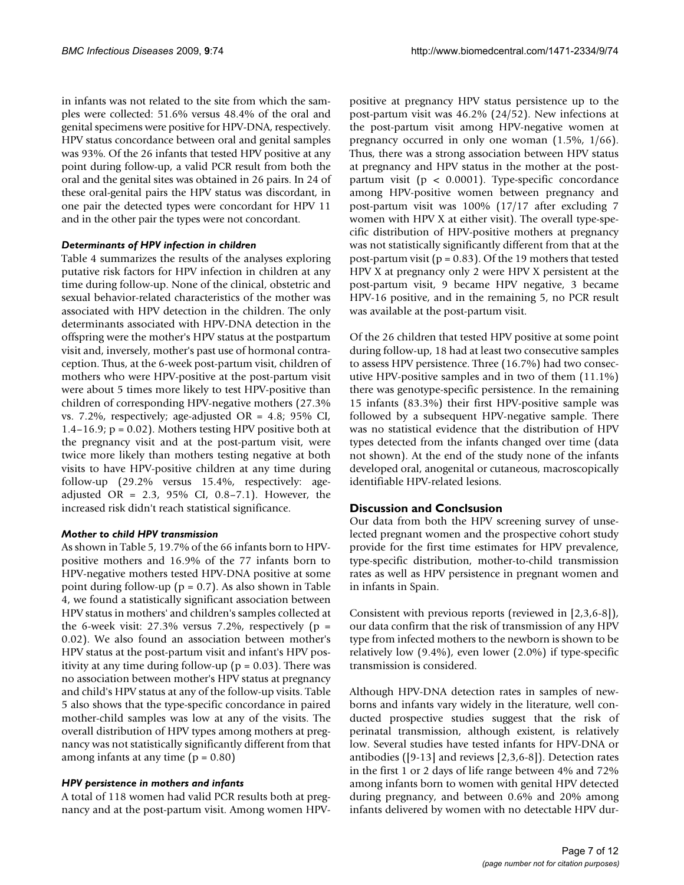in infants was not related to the site from which the samples were collected: 51.6% versus 48.4% of the oral and genital specimens were positive for HPV-DNA, respectively. HPV status concordance between oral and genital samples was 93%. Of the 26 infants that tested HPV positive at any point during follow-up, a valid PCR result from both the oral and the genital sites was obtained in 26 pairs. In 24 of these oral-genital pairs the HPV status was discordant, in one pair the detected types were concordant for HPV 11 and in the other pair the types were not concordant.

#### *Determinants of HPV infection in children*

Table 4 summarizes the results of the analyses exploring putative risk factors for HPV infection in children at any time during follow-up. None of the clinical, obstetric and sexual behavior-related characteristics of the mother was associated with HPV detection in the children. The only determinants associated with HPV-DNA detection in the offspring were the mother's HPV status at the postpartum visit and, inversely, mother's past use of hormonal contraception. Thus, at the 6-week post-partum visit, children of mothers who were HPV-positive at the post-partum visit were about 5 times more likely to test HPV-positive than children of corresponding HPV-negative mothers (27.3% vs. 7.2%, respectively; age-adjusted OR = 4.8; 95% CI, 1.4–16.9;  $p = 0.02$ ). Mothers testing HPV positive both at the pregnancy visit and at the post-partum visit, were twice more likely than mothers testing negative at both visits to have HPV-positive children at any time during follow-up (29.2% versus 15.4%, respectively: ageadjusted OR =  $2.3$ ,  $95\%$  CI, 0.8-7.1). However, the increased risk didn't reach statistical significance.

# *Mother to child HPV transmission*

As shown in Table 5, 19.7% of the 66 infants born to HPVpositive mothers and 16.9% of the 77 infants born to HPV-negative mothers tested HPV-DNA positive at some point during follow-up ( $p = 0.7$ ). As also shown in Table 4, we found a statistically significant association between HPV status in mothers' and children's samples collected at the 6-week visit:  $27.3\%$  versus 7.2%, respectively (p = 0.02). We also found an association between mother's HPV status at the post-partum visit and infant's HPV positivity at any time during follow-up ( $p = 0.03$ ). There was no association between mother's HPV status at pregnancy and child's HPV status at any of the follow-up visits. Table 5 also shows that the type-specific concordance in paired mother-child samples was low at any of the visits. The overall distribution of HPV types among mothers at pregnancy was not statistically significantly different from that among infants at any time  $(p = 0.80)$ 

# *HPV persistence in mothers and infants*

A total of 118 women had valid PCR results both at pregnancy and at the post-partum visit. Among women HPV- positive at pregnancy HPV status persistence up to the post-partum visit was 46.2% (24/52). New infections at the post-partum visit among HPV-negative women at pregnancy occurred in only one woman (1.5%, 1/66). Thus, there was a strong association between HPV status at pregnancy and HPV status in the mother at the postpartum visit (p < 0.0001). Type-specific concordance among HPV-positive women between pregnancy and post-partum visit was 100% (17/17 after excluding 7 women with HPV X at either visit). The overall type-specific distribution of HPV-positive mothers at pregnancy was not statistically significantly different from that at the post-partum visit ( $p = 0.83$ ). Of the 19 mothers that tested HPV X at pregnancy only 2 were HPV X persistent at the post-partum visit, 9 became HPV negative, 3 became HPV-16 positive, and in the remaining 5, no PCR result was available at the post-partum visit.

Of the 26 children that tested HPV positive at some point during follow-up, 18 had at least two consecutive samples to assess HPV persistence. Three (16.7%) had two consecutive HPV-positive samples and in two of them (11.1%) there was genotype-specific persistence. In the remaining 15 infants (83.3%) their first HPV-positive sample was followed by a subsequent HPV-negative sample. There was no statistical evidence that the distribution of HPV types detected from the infants changed over time (data not shown). At the end of the study none of the infants developed oral, anogenital or cutaneous, macroscopically identifiable HPV-related lesions.

# **Discussion and Conclsusion**

Our data from both the HPV screening survey of unselected pregnant women and the prospective cohort study provide for the first time estimates for HPV prevalence, type-specific distribution, mother-to-child transmission rates as well as HPV persistence in pregnant women and in infants in Spain.

Consistent with previous reports (reviewed in [2,3,6-8]), our data confirm that the risk of transmission of any HPV type from infected mothers to the newborn is shown to be relatively low (9.4%), even lower (2.0%) if type-specific transmission is considered.

Although HPV-DNA detection rates in samples of newborns and infants vary widely in the literature, well conducted prospective studies suggest that the risk of perinatal transmission, although existent, is relatively low. Several studies have tested infants for HPV-DNA or antibodies ([9-13] and reviews [2,3,6-8]). Detection rates in the first 1 or 2 days of life range between 4% and 72% among infants born to women with genital HPV detected during pregnancy, and between 0.6% and 20% among infants delivered by women with no detectable HPV dur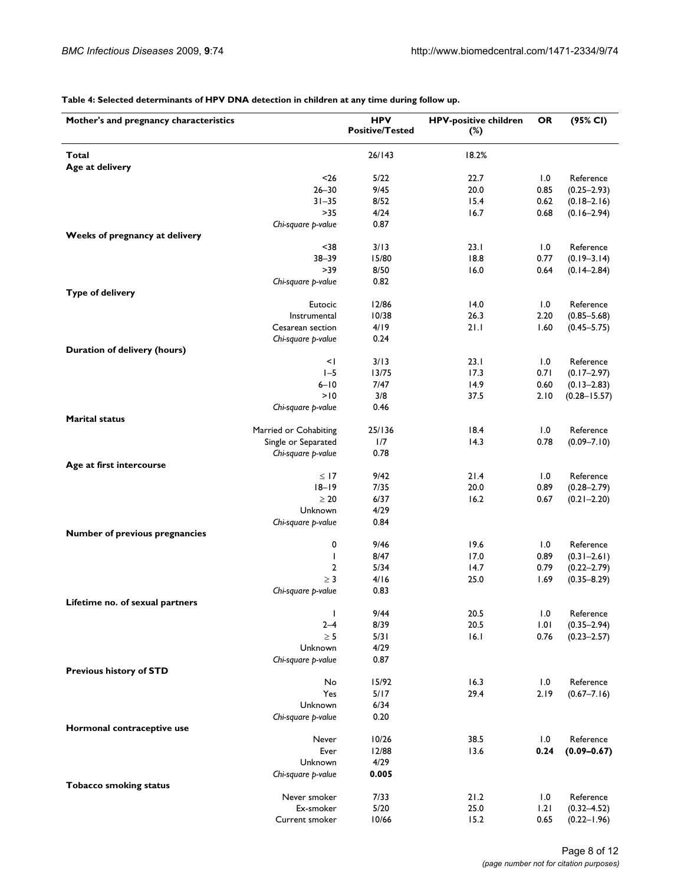**Table 4: Selected determinants of HPV DNA detection in children at any time during follow up.**

| Mother's and pregnancy characteristics             | <b>HPV</b><br><b>Positive/Tested</b> | <b>HPV-positive children</b><br>$(\%)$ | <b>OR</b>   | (95% CI)                     |
|----------------------------------------------------|--------------------------------------|----------------------------------------|-------------|------------------------------|
|                                                    |                                      |                                        |             |                              |
| Total<br>Age at delivery                           | 26/143                               | 18.2%                                  |             |                              |
| $26$                                               | 5/22                                 | 22.7                                   | 1.0         | Reference                    |
| $26 - 30$                                          | 9/45                                 | 20.0                                   | 0.85        | $(0.25 - 2.93)$              |
| $31 - 35$                                          | 8/52                                 | 15.4                                   | 0.62        | $(0.18 - 2.16)$              |
| $>35$                                              | 4/24                                 | 16.7                                   | 0.68        | $(0.16 - 2.94)$              |
| Chi-square p-value                                 | 0.87                                 |                                        |             |                              |
| Weeks of pregnancy at delivery<br>$38$             | 3/13                                 | 23.1                                   | 1.0         | Reference                    |
| $38 - 39$                                          | 15/80                                | 18.8                                   | 0.77        | $(0.19 - 3.14)$              |
| >39                                                | 8/50                                 | 16.0                                   | 0.64        | $(0.14 - 2.84)$              |
| Chi-square p-value                                 | 0.82                                 |                                        |             |                              |
| <b>Type of delivery</b>                            |                                      |                                        |             |                              |
| Eutocic                                            | 12/86                                | 14.0                                   | 1.0         | Reference                    |
| Instrumental                                       | 10/38                                | 26.3                                   | 2.20        | $(0.85 - 5.68)$              |
| Cesarean section                                   | 4/19                                 | 21.1                                   | 1.60        | $(0.45 - 5.75)$              |
| Chi-square p-value<br>Duration of delivery (hours) | 0.24                                 |                                        |             |                              |
| $\leq$                                             | 3/13                                 | 23.1                                   | 1.0         | Reference                    |
| $1-5$                                              | 13/75                                | 17.3                                   | 0.71        | $(0.17 - 2.97)$              |
| $6 - 10$                                           | 7/47                                 | 14.9                                   | 0.60        | $(0.13 - 2.83)$              |
| >10                                                | 3/8                                  | 37.5                                   | 2.10        | $(0.28 - 15.57)$             |
| Chi-square p-value                                 | 0.46                                 |                                        |             |                              |
| <b>Marital status</b>                              |                                      |                                        |             |                              |
| Married or Cohabiting                              | 25/136                               | 18.4                                   | 1.0         | Reference                    |
| Single or Separated<br>Chi-square p-value          | 1/7<br>0.78                          | 14.3                                   | 0.78        | $(0.09 - 7.10)$              |
| Age at first intercourse                           |                                      |                                        |             |                              |
| $\leq$ 17                                          | 9/42                                 | 21.4                                   | 1.0         | Reference                    |
| $18 - 19$                                          | 7/35                                 | 20.0                                   | 0.89        | $(0.28 - 2.79)$              |
| $\geq 20$                                          | 6/37                                 | 16.2                                   | 0.67        | $(0.21 - 2.20)$              |
| Unknown                                            | 4/29                                 |                                        |             |                              |
| Chi-square p-value                                 | 0.84                                 |                                        |             |                              |
| Number of previous pregnancies                     |                                      |                                        |             |                              |
| 0<br>I                                             | 9/46<br>8/47                         | 19.6<br>17.0                           | 1.0<br>0.89 | Reference<br>$(0.31 - 2.61)$ |
| 2                                                  | 5/34                                 | 14.7                                   | 0.79        | $(0.22 - 2.79)$              |
| $\geq 3$                                           | 4/16                                 | 25.0                                   | 1.69        | $(0.35 - 8.29)$              |
| Chi-square p-value                                 | 0.83                                 |                                        |             |                              |
| Lifetime no. of sexual partners                    |                                      |                                        |             |                              |
| $\mathbf{I}$                                       | 9/44                                 | $20.5$                                 | 1.0         | Reference                    |
| $2 - 4$                                            | 8/39                                 | 20.5                                   | 1.01        | $(0.35 - 2.94)$              |
| $\geq 5$                                           | 5/31                                 | 16.1                                   | 0.76        | $(0.23 - 2.57)$              |
| Unknown<br>Chi-square p-value                      | 4/29<br>0.87                         |                                        |             |                              |
| <b>Previous history of STD</b>                     |                                      |                                        |             |                              |
| No                                                 | 15/92                                | 16.3                                   | 1.0         | Reference                    |
| Yes                                                | 5/17                                 | 29.4                                   | 2.19        | $(0.67 - 7.16)$              |
| Unknown                                            | 6/34                                 |                                        |             |                              |
| Chi-square p-value                                 | 0.20                                 |                                        |             |                              |
| Hormonal contraceptive use                         |                                      |                                        |             |                              |
| Never<br>Ever                                      | 10/26<br>12/88                       | 38.5<br>13.6                           | 1.0<br>0.24 | Reference                    |
| Unknown                                            | 4/29                                 |                                        |             | $(0.09 - 0.67)$              |
| Chi-square p-value                                 | 0.005                                |                                        |             |                              |
| <b>Tobacco smoking status</b>                      |                                      |                                        |             |                              |
| Never smoker                                       | 7/33                                 | 21.2                                   | 1.0         | Reference                    |
| Ex-smoker                                          | 5/20                                 | 25.0                                   | 1.21        | $(0.32 - 4.52)$              |
| Current smoker                                     | 10/66                                | 15.2                                   | 0.65        | $(0.22 - 1.96)$              |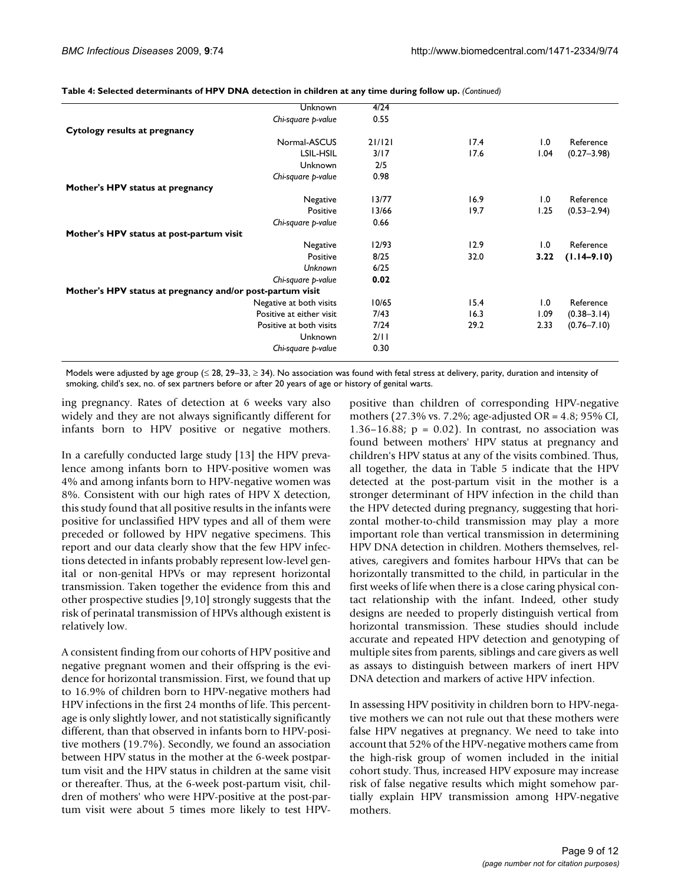| Unknown                                                   | 4/24   |      |      |                 |
|-----------------------------------------------------------|--------|------|------|-----------------|
| Chi-square p-value                                        | 0.55   |      |      |                 |
| Cytology results at pregnancy                             |        |      |      |                 |
| Normal-ASCUS                                              | 21/121 | 17.4 | 1.0  | Reference       |
| LSIL-HSIL                                                 | 3/17   | 17.6 | 1.04 | $(0.27 - 3.98)$ |
| Unknown                                                   | 2/5    |      |      |                 |
| Chi-square p-value                                        | 0.98   |      |      |                 |
| Mother's HPV status at pregnancy                          |        |      |      |                 |
| Negative                                                  | 13/77  | 16.9 | 1.0  | Reference       |
| Positive                                                  | 13/66  | 19.7 | 1.25 | $(0.53 - 2.94)$ |
| Chi-square p-value                                        | 0.66   |      |      |                 |
| Mother's HPV status at post-partum visit                  |        |      |      |                 |
| Negative                                                  | 12/93  | 12.9 | 1.0  | Reference       |
| Positive                                                  | 8/25   | 32.0 | 3.22 | $(1.14 - 9.10)$ |
| Unknown                                                   | 6/25   |      |      |                 |
| Chi-square p-value                                        | 0.02   |      |      |                 |
| Mother's HPV status at pregnancy and/or post-partum visit |        |      |      |                 |
| Negative at both visits                                   | 10/65  | 15.4 | 1.0  | Reference       |
| Positive at either visit                                  | 7/43   | 16.3 | 1.09 | $(0.38 - 3.14)$ |
| Positive at both visits                                   | 7/24   | 29.2 | 2.33 | $(0.76 - 7.10)$ |
| Unknown                                                   | 2/11   |      |      |                 |
| Chi-square p-value                                        | 0.30   |      |      |                 |
|                                                           |        |      |      |                 |

**Table 4: Selected determinants of HPV DNA detection in children at any time during follow up.** *(Continued)*

Models were adjusted by age group ( $\leq 28$ , 29–33,  $\geq 34$ ). No association was found with fetal stress at delivery, parity, duration and intensity of smoking, child's sex, no. of sex partners before or after 20 years of age or history of genital warts.

ing pregnancy. Rates of detection at 6 weeks vary also widely and they are not always significantly different for infants born to HPV positive or negative mothers.

In a carefully conducted large study [13] the HPV prevalence among infants born to HPV-positive women was 4% and among infants born to HPV-negative women was 8%. Consistent with our high rates of HPV X detection, this study found that all positive results in the infants were positive for unclassified HPV types and all of them were preceded or followed by HPV negative specimens. This report and our data clearly show that the few HPV infections detected in infants probably represent low-level genital or non-genital HPVs or may represent horizontal transmission. Taken together the evidence from this and other prospective studies [9,10] strongly suggests that the risk of perinatal transmission of HPVs although existent is relatively low.

A consistent finding from our cohorts of HPV positive and negative pregnant women and their offspring is the evidence for horizontal transmission. First, we found that up to 16.9% of children born to HPV-negative mothers had HPV infections in the first 24 months of life. This percentage is only slightly lower, and not statistically significantly different, than that observed in infants born to HPV-positive mothers (19.7%). Secondly, we found an association between HPV status in the mother at the 6-week postpartum visit and the HPV status in children at the same visit or thereafter. Thus, at the 6-week post-partum visit, children of mothers' who were HPV-positive at the post-partum visit were about 5 times more likely to test HPV- positive than children of corresponding HPV-negative mothers (27.3% vs. 7.2%; age-adjusted OR = 4.8; 95% CI, 1.36–16.88;  $p = 0.02$ ). In contrast, no association was found between mothers' HPV status at pregnancy and children's HPV status at any of the visits combined. Thus, all together, the data in Table 5 indicate that the HPV detected at the post-partum visit in the mother is a stronger determinant of HPV infection in the child than the HPV detected during pregnancy, suggesting that horizontal mother-to-child transmission may play a more important role than vertical transmission in determining HPV DNA detection in children. Mothers themselves, relatives, caregivers and fomites harbour HPVs that can be horizontally transmitted to the child, in particular in the first weeks of life when there is a close caring physical contact relationship with the infant. Indeed, other study designs are needed to properly distinguish vertical from horizontal transmission. These studies should include accurate and repeated HPV detection and genotyping of multiple sites from parents, siblings and care givers as well as assays to distinguish between markers of inert HPV DNA detection and markers of active HPV infection.

In assessing HPV positivity in children born to HPV-negative mothers we can not rule out that these mothers were false HPV negatives at pregnancy. We need to take into account that 52% of the HPV-negative mothers came from the high-risk group of women included in the initial cohort study. Thus, increased HPV exposure may increase risk of false negative results which might somehow partially explain HPV transmission among HPV-negative mothers.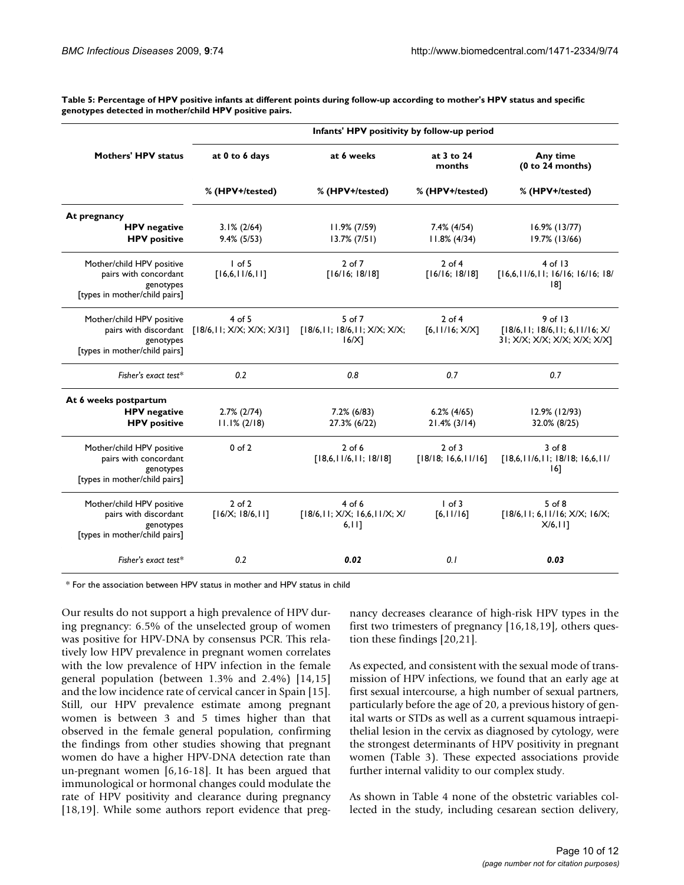**Table 5: Percentage of HPV positive infants at different points during follow-up according to mother's HPV status and specific genotypes detected in mother/child HPV positive pairs.**

|                                                                                                  | Infants' HPV positivity by follow-up period |                                                          |                                   |                                                                              |  |  |
|--------------------------------------------------------------------------------------------------|---------------------------------------------|----------------------------------------------------------|-----------------------------------|------------------------------------------------------------------------------|--|--|
| <b>Mothers' HPV status</b>                                                                       | at 0 to 6 days                              | at 6 weeks                                               | at 3 to 24<br>months              | Any time<br>(0 to 24 months)                                                 |  |  |
|                                                                                                  | % (HPV+/tested)                             | % (HPV+/tested)                                          | % (HPV+/tested)                   | % (HPV+/tested)                                                              |  |  |
| At pregnancy                                                                                     |                                             |                                                          |                                   |                                                                              |  |  |
| <b>HPV</b> negative<br><b>HPV</b> positive                                                       | $3.1\% (2/64)$<br>$9.4\%$ (5/53)            | $11.9\% (7/59)$<br>$13.7\% (7/51)$                       | 7.4% (4/54)<br>$11.8\%$ (4/34)    | $16.9\%$ (13/77)<br>19.7% (13/66)                                            |  |  |
| Mother/child HPV positive<br>pairs with concordant<br>genotypes<br>[types in mother/child pairs] | $I$ of 5<br>[16,6,11/6,11]                  | 2 of 7<br>[16/16; 18/18]                                 | $2$ of 4<br>[16/16; 18/18]        | $4$ of 13<br>[16,6,11/6,11; 16/16; 16/16; 18/<br>181                         |  |  |
| Mother/child HPV positive<br>pairs with discordant<br>genotypes<br>[types in mother/child pairs] | $4$ of 5<br>[18/6, 11; X/X; X/X; X/31]      | $5$ of $7$<br>[18/6, 11; 18/6, 11; X/X; X/X;<br>$16/X$ ] | $2$ of 4<br>[6,11/16; X/X]        | 9 of 13<br>[18/6, 11; 18/6, 11; 6, 11/16; X/<br>31; X/X; X/X; X/X; X/X; X/X] |  |  |
| Fisher's exact test*                                                                             | 0.2                                         | 0.8                                                      | 0.7                               | 0.7                                                                          |  |  |
| At 6 weeks postpartum<br><b>HPV</b> negative<br><b>HPV</b> positive                              | $2.7\%$ ( $2/74$ )<br>$11.1\% (2/18)$       | $7.2\%$ (6/83)<br>27.3% (6/22)                           | $6.2\%$ (4/65)<br>$21.4\%$ (3/14) | 12.9% (12/93)<br>32.0% (8/25)                                                |  |  |
| Mother/child HPV positive<br>pairs with concordant<br>genotypes<br>[types in mother/child pairs] | $0$ of $2$                                  | $2$ of 6<br>[18,6,11/6,11;18/18]                         | $2$ of $3$<br>[18/18; 16,6,11/16] | $3$ of $8$<br>[18,6,11/6,11;18/18;16,6,11/<br> 6                             |  |  |
| Mother/child HPV positive<br>pairs with discordant<br>genotypes<br>[types in mother/child pairs] | $2$ of $2$<br>[16/X; 18/6, 11]              | $4$ of 6<br>[18/6, 11; X/X; 16, 6, 11/X; X/<br>6, 111    | $1$ of 3<br>[6,11/16]             | $5$ of $8$<br>[18/6, 11; 6, 11/16; X/X; 16/X;<br>$X/6,$   ]                  |  |  |
| Fisher's exact test $*$                                                                          | 0.2                                         | 0.02                                                     | 0.1                               | 0.03                                                                         |  |  |

\* For the association between HPV status in mother and HPV status in child

Our results do not support a high prevalence of HPV during pregnancy: 6.5% of the unselected group of women was positive for HPV-DNA by consensus PCR. This relatively low HPV prevalence in pregnant women correlates with the low prevalence of HPV infection in the female general population (between 1.3% and 2.4%) [14,15] and the low incidence rate of cervical cancer in Spain [15]. Still, our HPV prevalence estimate among pregnant women is between 3 and 5 times higher than that observed in the female general population, confirming the findings from other studies showing that pregnant women do have a higher HPV-DNA detection rate than un-pregnant women [6,16-18]. It has been argued that immunological or hormonal changes could modulate the rate of HPV positivity and clearance during pregnancy [18,19]. While some authors report evidence that pregnancy decreases clearance of high-risk HPV types in the first two trimesters of pregnancy [16,18,19], others question these findings [20,21].

As expected, and consistent with the sexual mode of transmission of HPV infections, we found that an early age at first sexual intercourse, a high number of sexual partners, particularly before the age of 20, a previous history of genital warts or STDs as well as a current squamous intraepithelial lesion in the cervix as diagnosed by cytology, were the strongest determinants of HPV positivity in pregnant women (Table 3). These expected associations provide further internal validity to our complex study.

As shown in Table 4 none of the obstetric variables collected in the study, including cesarean section delivery,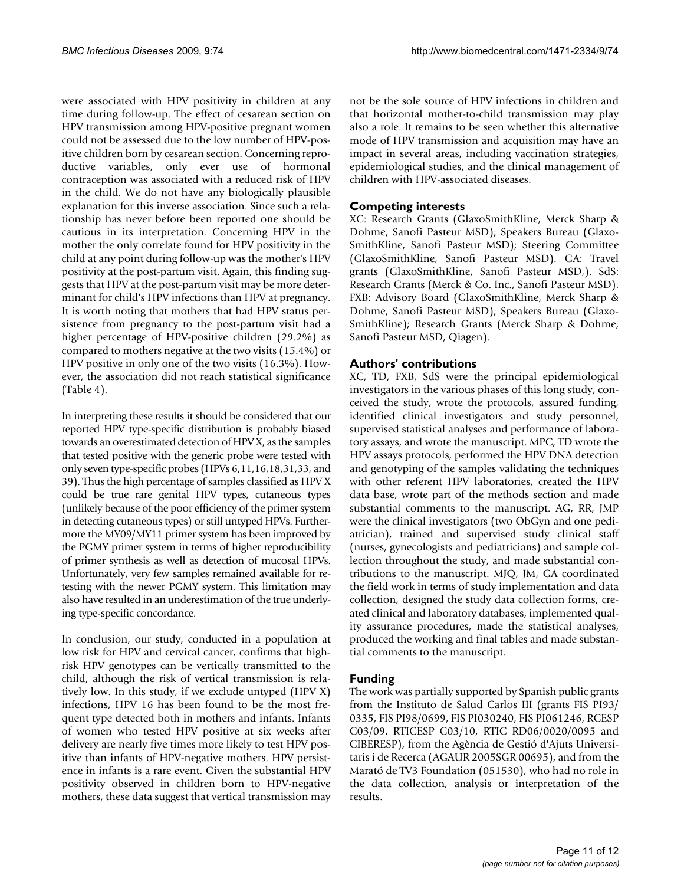were associated with HPV positivity in children at any time during follow-up. The effect of cesarean section on HPV transmission among HPV-positive pregnant women could not be assessed due to the low number of HPV-positive children born by cesarean section. Concerning reproductive variables, only ever use of hormonal contraception was associated with a reduced risk of HPV in the child. We do not have any biologically plausible explanation for this inverse association. Since such a relationship has never before been reported one should be cautious in its interpretation. Concerning HPV in the mother the only correlate found for HPV positivity in the child at any point during follow-up was the mother's HPV positivity at the post-partum visit. Again, this finding suggests that HPV at the post-partum visit may be more determinant for child's HPV infections than HPV at pregnancy. It is worth noting that mothers that had HPV status persistence from pregnancy to the post-partum visit had a higher percentage of HPV-positive children (29.2%) as compared to mothers negative at the two visits (15.4%) or HPV positive in only one of the two visits (16.3%). However, the association did not reach statistical significance (Table 4).

In interpreting these results it should be considered that our reported HPV type-specific distribution is probably biased towards an overestimated detection of HPV X, as the samples that tested positive with the generic probe were tested with only seven type-specific probes (HPVs 6,11,16,18,31,33, and 39). Thus the high percentage of samples classified as HPV X could be true rare genital HPV types, cutaneous types (unlikely because of the poor efficiency of the primer system in detecting cutaneous types) or still untyped HPVs. Furthermore the MY09/MY11 primer system has been improved by the PGMY primer system in terms of higher reproducibility of primer synthesis as well as detection of mucosal HPVs. Unfortunately, very few samples remained available for retesting with the newer PGMY system. This limitation may also have resulted in an underestimation of the true underlying type-specific concordance.

In conclusion, our study, conducted in a population at low risk for HPV and cervical cancer, confirms that highrisk HPV genotypes can be vertically transmitted to the child, although the risk of vertical transmission is relatively low. In this study, if we exclude untyped (HPV X) infections, HPV 16 has been found to be the most frequent type detected both in mothers and infants. Infants of women who tested HPV positive at six weeks after delivery are nearly five times more likely to test HPV positive than infants of HPV-negative mothers. HPV persistence in infants is a rare event. Given the substantial HPV positivity observed in children born to HPV-negative mothers, these data suggest that vertical transmission may not be the sole source of HPV infections in children and that horizontal mother-to-child transmission may play also a role. It remains to be seen whether this alternative mode of HPV transmission and acquisition may have an impact in several areas, including vaccination strategies, epidemiological studies, and the clinical management of children with HPV-associated diseases.

# **Competing interests**

XC: Research Grants (GlaxoSmithKline, Merck Sharp & Dohme, Sanofi Pasteur MSD); Speakers Bureau (Glaxo-SmithKline, Sanofi Pasteur MSD); Steering Committee (GlaxoSmithKline, Sanofi Pasteur MSD). GA: Travel grants (GlaxoSmithKline, Sanofi Pasteur MSD,). SdS: Research Grants (Merck & Co. Inc., Sanofi Pasteur MSD). FXB: Advisory Board (GlaxoSmithKline, Merck Sharp & Dohme, Sanofi Pasteur MSD); Speakers Bureau (Glaxo-SmithKline); Research Grants (Merck Sharp & Dohme, Sanofi Pasteur MSD, Qiagen).

# **Authors' contributions**

XC, TD, FXB, SdS were the principal epidemiological investigators in the various phases of this long study, conceived the study, wrote the protocols, assured funding, identified clinical investigators and study personnel, supervised statistical analyses and performance of laboratory assays, and wrote the manuscript. MPC, TD wrote the HPV assays protocols, performed the HPV DNA detection and genotyping of the samples validating the techniques with other referent HPV laboratories, created the HPV data base, wrote part of the methods section and made substantial comments to the manuscript. AG, RR, JMP were the clinical investigators (two ObGyn and one pediatrician), trained and supervised study clinical staff (nurses, gynecologists and pediatricians) and sample collection throughout the study, and made substantial contributions to the manuscript. MJQ, JM, GA coordinated the field work in terms of study implementation and data collection, designed the study data collection forms, created clinical and laboratory databases, implemented quality assurance procedures, made the statistical analyses, produced the working and final tables and made substantial comments to the manuscript.

# **Funding**

The work was partially supported by Spanish public grants from the Instituto de Salud Carlos III (grants FIS PI93/ 0335, FIS PI98/0699, FIS PI030240, FIS PI061246, RCESP C03/09, RTICESP C03/10, RTIC RD06/0020/0095 and CIBERESP), from the Agència de Gestió d'Ajuts Universitaris i de Recerca (AGAUR 2005SGR 00695), and from the Marató de TV3 Foundation (051530), who had no role in the data collection, analysis or interpretation of the results.